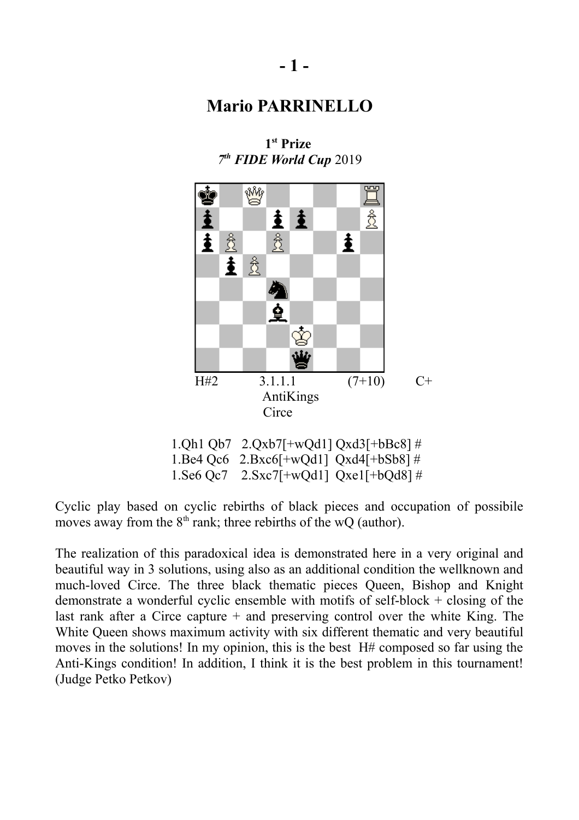

**1 st Prize**  *7 th FIDE World Cup* 2019

 1.Qh1 Qb7 2.Qxb7[+wQd1] Qxd3[+bBc8] # 1.Be4 Qc6 2.Bxc6[+wQd1] Qxd4[+bSb8] # 1.Se6 Qc7 2.Sxc7[+wQd1] Qxe1[+bQd8] #

Cyclic play based on cyclic rebirths of black pieces and occupation of possibile moves away from the  $8<sup>th</sup>$  rank; three rebirths of the wQ (author).

The realization of this paradoxical idea is demonstrated here in a very original and beautiful way in 3 solutions, using also as an additional condition the wellknown and much-loved Circe. The three black thematic pieces Queen, Bishop and Knight demonstrate a wonderful cyclic ensemble with motifs of self-block + closing of the last rank after a Circe capture + and preserving control over the white King. The White Queen shows maximum activity with six different thematic and very beautiful moves in the solutions! In my opinion, this is the best H# composed so far using the Anti-Kings condition! In addition, I think it is the best problem in this tournament! (Judge Petko Petkov)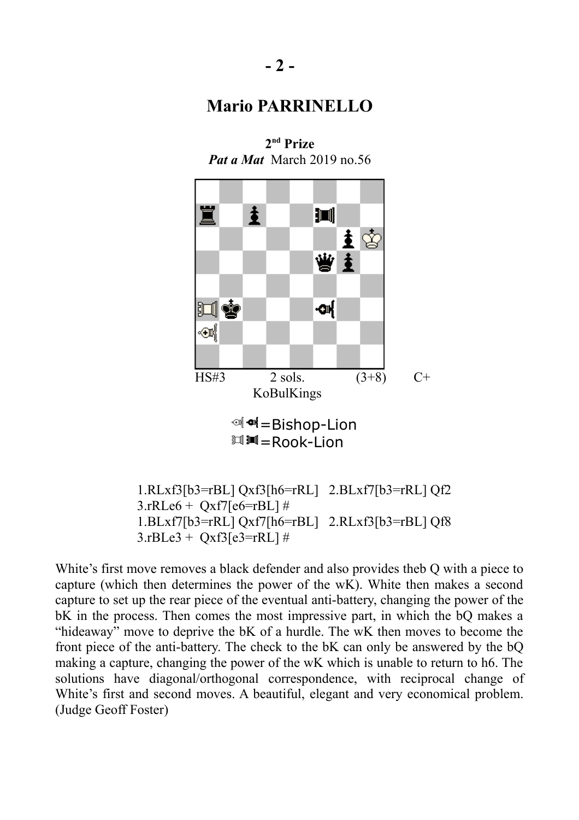



 $3.rRLe6 + Oxf7[ef= rBL]$ # 1.BLxf7[b3=rRL] Qxf7[h6=rBL] 2.RLxf3[b3=rBL] Qf8  $3.$ rBLe $3 +$ Oxf $3$ [e $3 =$ rRL] #

White's first move removes a black defender and also provides theb Q with a piece to capture (which then determines the power of the wK). White then makes a second capture to set up the rear piece of the eventual anti-battery, changing the power of the bK in the process. Then comes the most impressive part, in which the bQ makes a "hideaway" move to deprive the bK of a hurdle. The wK then moves to become the front piece of the anti-battery. The check to the bK can only be answered by the bQ making a capture, changing the power of the wK which is unable to return to h6. The solutions have diagonal/orthogonal correspondence, with reciprocal change of White's first and second moves. A beautiful, elegant and very economical problem. (Judge Geoff Foster)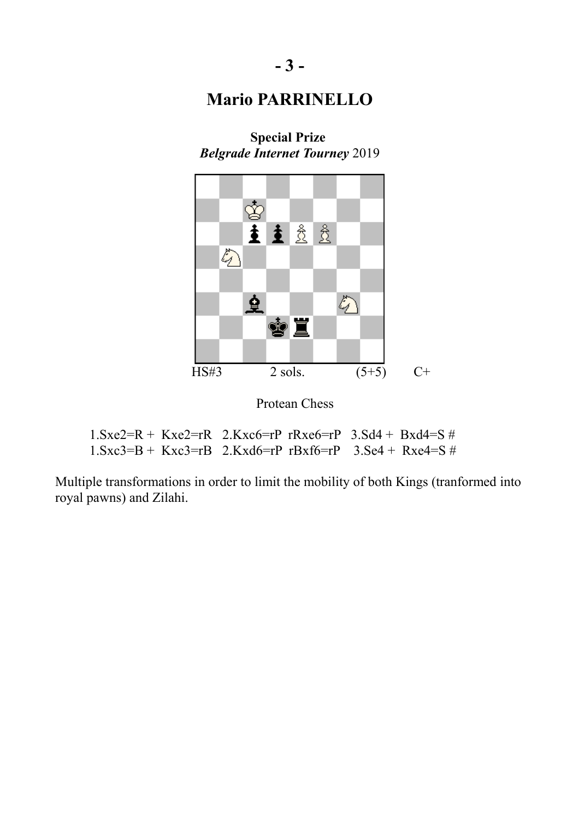

**Special Prize**  *Belgrade Internet Tourney* 2019

Protean Chess

| $1. \text{Sxe2=R} + \text{Kxe2=rR}$ $2. \text{Kxe6=rP}$ $\text{Rxe6=rP}$ $3. \text{Sd4} + \text{Bxd4=S}$ # |  |  |  |
|------------------------------------------------------------------------------------------------------------|--|--|--|
| $1.$ Sxc3=B + Kxc3=rB 2.Kxd6=rP rBxf6=rP 3.Se4 + Rxe4=S #                                                  |  |  |  |

Multiple transformations in order to limit the mobility of both Kings (tranformed into royal pawns) and Zilahi.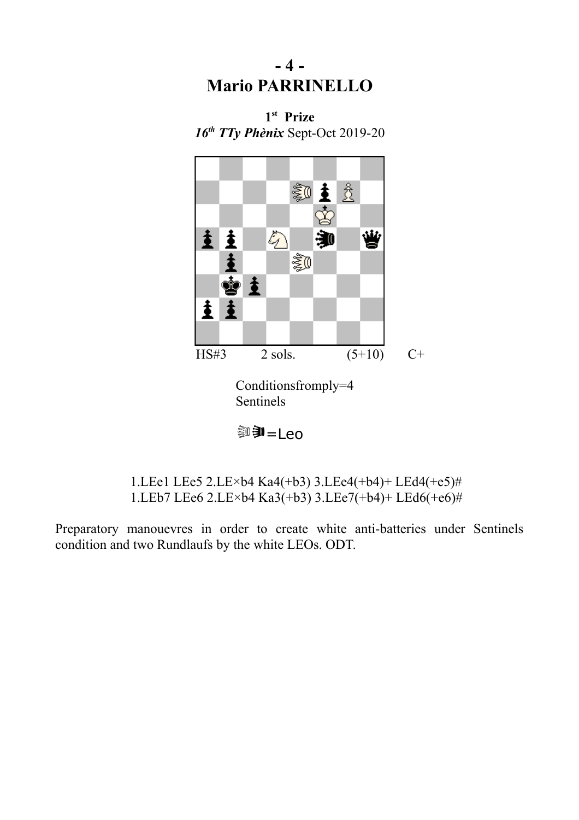# **- 4 - Mario PARRINELLO**





uvU=Leo

 1.LEe1 LEe5 2.LE×b4 Ka4(+b3) 3.LEe4(+b4)+ LEd4(+e5)# 1.LEb7 LEe6 2.LE×b4 Ka3(+b3) 3.LEe7(+b4)+ LEd6(+e6)#

Preparatory manouevres in order to create white anti-batteries under Sentinels condition and two Rundlaufs by the white LEOs. ODT.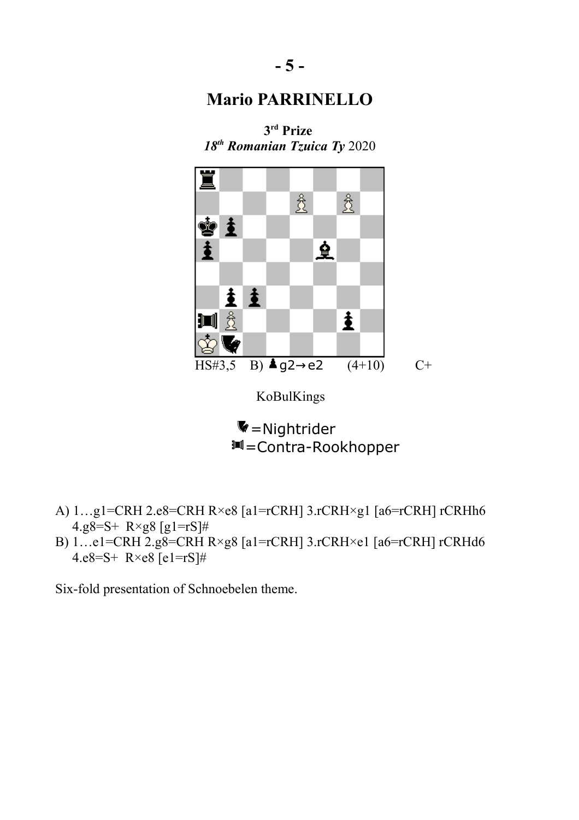**3 rd Prize** 



<sup>11</sup> = Contra-Rookhopper

- A) 1…g1=CRH 2.e8=CRH R×e8 [a1=rCRH] 3.rCRH×g1 [a6=rCRH] rCRHh6 4.g8=S+ R×g8 [g1=rS]#
- B) 1…e1=CRH 2.g8=CRH R×g8 [a1=rCRH] 3.rCRH×e1 [a6=rCRH] rCRHd6 4.e8=S+  $R \times e8$  [e1=rS]#

Six-fold presentation of Schnoebelen theme.